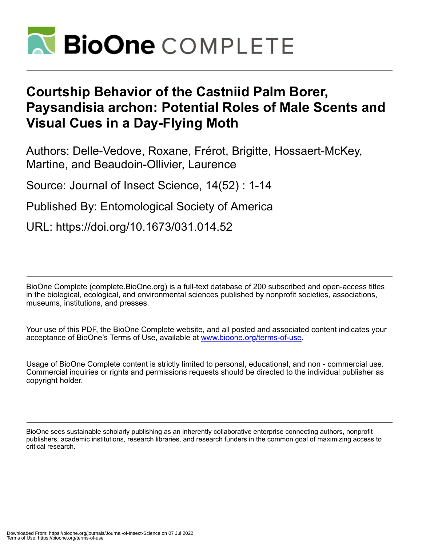

# **Courtship Behavior of the Castniid Palm Borer, Paysandisia archon: Potential Roles of Male Scents and Visual Cues in a Day-Flying Moth**

Authors: Delle-Vedove, Roxane, Frérot, Brigitte, Hossaert-McKey, Martine, and Beaudoin-Ollivier, Laurence

Source: Journal of Insect Science, 14(52) : 1-14

Published By: Entomological Society of America

URL: https://doi.org/10.1673/031.014.52

BioOne Complete (complete.BioOne.org) is a full-text database of 200 subscribed and open-access titles in the biological, ecological, and environmental sciences published by nonprofit societies, associations, museums, institutions, and presses.

Your use of this PDF, the BioOne Complete website, and all posted and associated content indicates your acceptance of BioOne's Terms of Use, available at www.bioone.org/terms-of-use.

Usage of BioOne Complete content is strictly limited to personal, educational, and non - commercial use. Commercial inquiries or rights and permissions requests should be directed to the individual publisher as copyright holder.

BioOne sees sustainable scholarly publishing as an inherently collaborative enterprise connecting authors, nonprofit publishers, academic institutions, research libraries, and research funders in the common goal of maximizing access to critical research.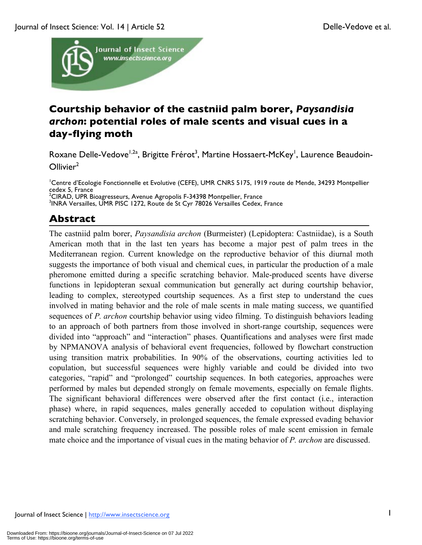

## **Courtship behavior of the castniid palm borer,** *Paysandisia archon***: potential roles of male scents and visual cues in a day-flying moth**

Roxane Delle-Vedove<sup>1,2a</sup>, Brigitte Frérot<sup>3</sup>, Martine Hossaert-McKey<sup>1</sup>, Laurence Beaudoin-Ollivier<sup>2</sup>

1 Centre d'Ecologie Fonctionnelle et Evolutive (CEFE), UMR CNRS 5175, 1919 route de Mende, 34293 Montpellier cedex 5, France <sup>2</sup>CIRAD, UPR Bioagresseurs, Avenue Agropolis F-34398 Montpellier, France<br><sup>3</sup>INP A Verseilles, UMP PISC 1272, Route de St Cyr 78026 Verseilles Cedex <sup>3</sup>INRA Versailles, UMR PISC 1272, Route de St Cyr 78026 Versailles Cedex, France

## **Abstract**

The castniid palm borer, *Paysandisia archon* (Burmeister) (Lepidoptera: Castniidae), is a South American moth that in the last ten years has become a major pest of palm trees in the Mediterranean region. Current knowledge on the reproductive behavior of this diurnal moth suggests the importance of both visual and chemical cues, in particular the production of a male pheromone emitted during a specific scratching behavior. Male-produced scents have diverse functions in lepidopteran sexual communication but generally act during courtship behavior, leading to complex, stereotyped courtship sequences. As a first step to understand the cues involved in mating behavior and the role of male scents in male mating success, we quantified sequences of *P. archon* courtship behavior using video filming. To distinguish behaviors leading to an approach of both partners from those involved in short-range courtship, sequences were divided into "approach" and "interaction" phases. Quantifications and analyses were first made by NPMANOVA analysis of behavioral event frequencies, followed by flowchart construction using transition matrix probabilities. In 90% of the observations, courting activities led to copulation, but successful sequences were highly variable and could be divided into two categories, "rapid" and "prolonged" courtship sequences. In both categories, approaches were performed by males but depended strongly on female movements, especially on female flights. The significant behavioral differences were observed after the first contact (i.e., interaction phase) where, in rapid sequences, males generally acceded to copulation without displaying scratching behavior. Conversely, in prolonged sequences, the female expressed evading behavior and male scratching frequency increased. The possible roles of male scent emission in female mate choice and the importance of visual cues in the mating behavior of *P. archon* are discussed.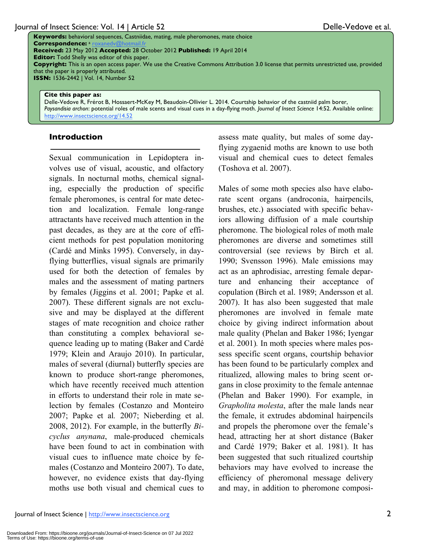Terms of Use: https://bioone.org/terms-of-use

**Keywords:** behavioral sequences, Castniidae, mating, male pheromones, mate choice **Correspondence: a Received:** 23 May 2012 **Accepted:** 28 October 2012 **Published:** 19 April 2014 **Editor:** Todd Shelly was editor of this paper. **Copyright:** This is an open access paper. We use the Creative Commons Attribution 3.0 license that permits unrestricted use, provided that the paper is properly attributed. **ISSN:** 1536-2442 | Vol. 14, Number 52

#### **Cite this paper as:**

Delle-Vedove R, Frérot B, Hossaert-McKey M, Beaudoin-Ollivier L. 2014. Courtship behavior of the castniid palm borer, *Paysandisia archon*: potential roles of male scents and visual cues in a day-flying moth. *Journal of Insect Science* 14:52. Available online: http://www.insectscience.org/14.52

#### **Introduction**

Sexual communication in Lepidoptera involves use of visual, acoustic, and olfactory signals. In nocturnal moths, chemical signaling, especially the production of specific female pheromones, is central for mate detection and localization. Female long-range attractants have received much attention in the past decades, as they are at the core of efficient methods for pest population monitoring (Cardé and Minks 1995). Conversely, in dayflying butterflies, visual signals are primarily used for both the detection of females by males and the assessment of mating partners by females (Jiggins et al. 2001; Papke et al. 2007). These different signals are not exclusive and may be displayed at the different stages of mate recognition and choice rather than constituting a complex behavioral sequence leading up to mating (Baker and Cardé 1979; Klein and Araujo 2010). In particular, males of several (diurnal) butterfly species are known to produce short-range pheromones, which have recently received much attention in efforts to understand their role in mate selection by females (Costanzo and Monteiro 2007; Papke et al*.* 2007; Nieberding et al. 2008, 2012). For example, in the butterfly *Bicyclus anynana*, male-produced chemicals have been found to act in combination with visual cues to influence mate choice by females (Costanzo and Monteiro 2007). To date, however, no evidence exists that day-flying moths use both visual and chemical cues to assess mate quality, but males of some dayflying zygaenid moths are known to use both visual and chemical cues to detect females (Toshova et al. 2007).

Males of some moth species also have elaborate scent organs (androconia, hairpencils, brushes, etc.) associated with specific behaviors allowing diffusion of a male courtship pheromone. The biological roles of moth male pheromones are diverse and sometimes still controversial (see reviews by Birch et al. 1990; Svensson 1996). Male emissions may act as an aphrodisiac, arresting female departure and enhancing their acceptance of copulation (Birch et al. 1989; Andersson et al. 2007). It has also been suggested that male pheromones are involved in female mate choice by giving indirect information about male quality (Phelan and Baker 1986; Iyengar et al. 2001)*.* In moth species where males possess specific scent organs, courtship behavior has been found to be particularly complex and ritualized, allowing males to bring scent organs in close proximity to the female antennae (Phelan and Baker 1990). For example, in *Grapholita molesta*, after the male lands near the female, it extrudes abdominal hairpencils and propels the pheromone over the female's head, attracting her at short distance (Baker and Cardé 1979; Baker et al. 1981). It has been suggested that such ritualized courtship behaviors may have evolved to increase the efficiency of pheromonal message delivery and may, in addition to pheromone composi-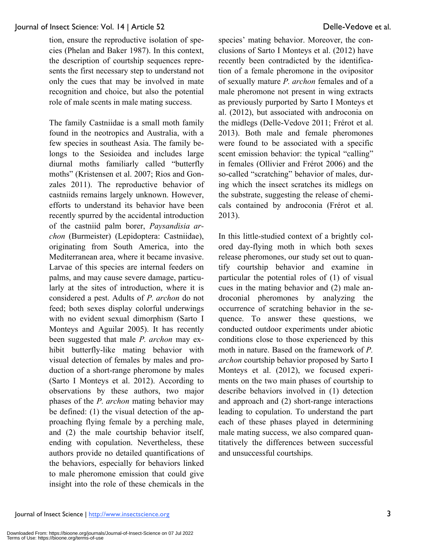tion, ensure the reproductive isolation of species (Phelan and Baker 1987). In this context, the description of courtship sequences represents the first necessary step to understand not only the cues that may be involved in mate recognition and choice, but also the potential role of male scents in male mating success.

The family Castniidae is a small moth family found in the neotropics and Australia, with a few species in southeast Asia. The family belongs to the Sesioidea and includes large diurnal moths familiarly called "butterfly moths" (Kristensen et al. 2007; Rios and Gonzales 2011). The reproductive behavior of castniids remains largely unknown. However, efforts to understand its behavior have been recently spurred by the accidental introduction of the castniid palm borer, *Paysandisia archon* (Burmeister) (Lepidoptera: Castniidae), originating from South America, into the Mediterranean area, where it became invasive. Larvae of this species are internal feeders on palms, and may cause severe damage, particularly at the sites of introduction, where it is considered a pest. Adults of *P. archon* do not feed; both sexes display colorful underwings with no evident sexual dimorphism (Sarto I Monteys and Aguilar 2005). It has recently been suggested that male *P. archon* may exhibit butterfly-like mating behavior with visual detection of females by males and production of a short-range pheromone by males (Sarto I Monteys et al. 2012). According to observations by these authors, two major phases of the *P. archon* mating behavior may be defined: (1) the visual detection of the approaching flying female by a perching male, and (2) the male courtship behavior itself, ending with copulation. Nevertheless, these authors provide no detailed quantifications of the behaviors, especially for behaviors linked to male pheromone emission that could give insight into the role of these chemicals in the species' mating behavior. Moreover, the conclusions of Sarto I Monteys et al. (2012) have recently been contradicted by the identification of a female pheromone in the ovipositor of sexually mature *P. archon* females and of a male pheromone not present in wing extracts as previously purported by Sarto I Monteys et al. (2012), but associated with androconia on the midlegs (Delle-Vedove 2011; Frérot et al. 2013). Both male and female pheromones were found to be associated with a specific scent emission behavior: the typical "calling" in females (Ollivier and Frérot 2006) and the so-called "scratching" behavior of males, during which the insect scratches its midlegs on the substrate, suggesting the release of chemicals contained by androconia (Frérot et al. 2013).

In this little-studied context of a brightly colored day-flying moth in which both sexes release pheromones, our study set out to quantify courtship behavior and examine in particular the potential roles of (1) of visual cues in the mating behavior and (2) male androconial pheromones by analyzing the occurrence of scratching behavior in the sequence. To answer these questions, we conducted outdoor experiments under abiotic conditions close to those experienced by this moth in nature. Based on the framework of *P. archon* courtship behavior proposed by Sarto I Monteys et al. (2012), we focused experiments on the two main phases of courtship to describe behaviors involved in (1) detection and approach and (2) short-range interactions leading to copulation. To understand the part each of these phases played in determining male mating success, we also compared quantitatively the differences between successful and unsuccessful courtships.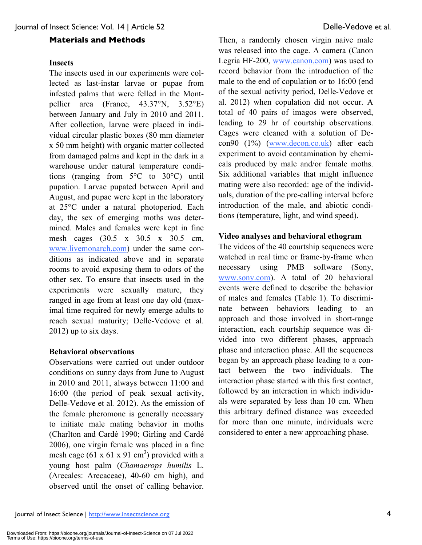#### **Materials and Methods**

#### **Insects**

The insects used in our experiments were collected as last-instar larvae or pupae from infested palms that were felled in the Montpellier area (France, 43.37°N, 3.52°E) between January and July in 2010 and 2011. After collection, larvae were placed in individual circular plastic boxes (80 mm diameter x 50 mm height) with organic matter collected from damaged palms and kept in the dark in a warehouse under natural temperature conditions (ranging from 5°C to 30°C) until pupation. Larvae pupated between April and August, and pupae were kept in the laboratory at 25°C under a natural photoperiod. Each day, the sex of emerging moths was determined. Males and females were kept in fine mesh cages (30.5 x 30.5 x 30.5 cm, www.livemonarch.com) under the same conditions as indicated above and in separate rooms to avoid exposing them to odors of the other sex. To ensure that insects used in the experiments were sexually mature, they ranged in age from at least one day old (maximal time required for newly emerge adults to reach sexual maturity; Delle-Vedove et al. 2012) up to six days.

#### **Behavioral observations**

Observations were carried out under outdoor conditions on sunny days from June to August in 2010 and 2011, always between 11:00 and 16:00 (the period of peak sexual activity, Delle-Vedove et al*.* 2012). As the emission of the female pheromone is generally necessary to initiate male mating behavior in moths (Charlton and Cardé 1990; Girling and Cardé 2006), one virgin female was placed in a fine mesh cage (61 x 61 x 91 cm<sup>3</sup>) provided with a young host palm (*Chamaerops humilis* L. (Arecales: Arecaceae), 40-60 cm high), and observed until the onset of calling behavior.

Then, a randomly chosen virgin naive male was released into the cage. A camera (Canon Legria HF-200, www.canon.com) was used to record behavior from the introduction of the male to the end of copulation or to 16:00 (end of the sexual activity period, Delle-Vedove et al. 2012) when copulation did not occur. A total of 40 pairs of imagos were observed, leading to 29 hr of courtship observations. Cages were cleaned with a solution of Decon90 (1%) (www.decon.co.uk) after each experiment to avoid contamination by chemicals produced by male and/or female moths. Six additional variables that might influence mating were also recorded: age of the individuals, duration of the pre-calling interval before introduction of the male, and abiotic conditions (temperature, light, and wind speed).

#### **Video analyses and behavioral ethogram**

The videos of the 40 courtship sequences were watched in real time or frame-by-frame when necessary using PMB software (Sony, www.sony.com). A total of 20 behavioral events were defined to describe the behavior of males and females (Table 1). To discriminate between behaviors leading to an approach and those involved in short-range interaction, each courtship sequence was divided into two different phases, approach phase and interaction phase. All the sequences began by an approach phase leading to a contact between the two individuals. The interaction phase started with this first contact, followed by an interaction in which individuals were separated by less than 10 cm. When this arbitrary defined distance was exceeded for more than one minute, individuals were considered to enter a new approaching phase.

#### Journal of Insect Science | http://www.insectscience.org 4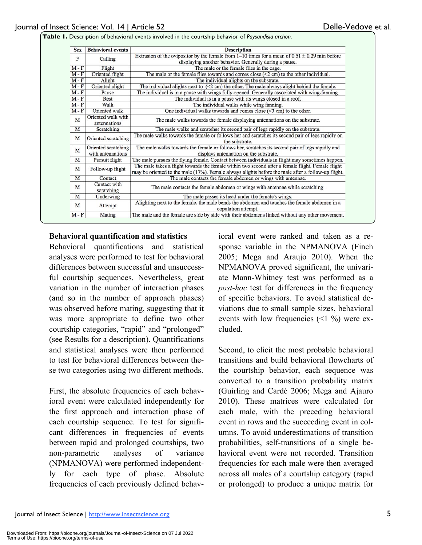| <b>Sex</b> | <b>Behavioral</b> events<br><b>Description</b> |                                                                                                                                                                                                         |  |  |  |  |
|------------|------------------------------------------------|---------------------------------------------------------------------------------------------------------------------------------------------------------------------------------------------------------|--|--|--|--|
| F          | Calling                                        | Extrusion of the ovipositor by the female from $1-10$ times for a mean of $0.51 \pm 0.29$ min before<br>displaying another behavior. Generally during a pause.                                          |  |  |  |  |
| $M - F$    | Flight                                         | The male or the female flies in the cage.                                                                                                                                                               |  |  |  |  |
| $M - F$    | Oriented flight                                | The male or the female flies towards and comes close $(\leq 2$ cm) to the other individual.                                                                                                             |  |  |  |  |
| $M - F$    | Alight                                         | The individual alights on the substrate.                                                                                                                                                                |  |  |  |  |
| $M - F$    | Oriented alight                                | The individual alights next to $\leq 2$ cm) the other. The male always alight behind the female.                                                                                                        |  |  |  |  |
| $M - F$    | Pause                                          | The individual is in a pause with wings fully opened. Generally associated with wing-fanning.                                                                                                           |  |  |  |  |
| $M - F$    | Rest                                           | The individual is in a pause with its wings closed in a roof.                                                                                                                                           |  |  |  |  |
| $M - F$    | Walk                                           | The individual walks while wing fanning.                                                                                                                                                                |  |  |  |  |
| $M - F$    | Oriented walk                                  | One individual walks towards and comes close $(3 cm) to the other.$                                                                                                                                     |  |  |  |  |
| M          | Oriented walk with<br>antennations             | The male walks towards the female displaying antennations on the substrate.                                                                                                                             |  |  |  |  |
| M          | Scratching                                     | The male walks and scratches its second pair of legs rapidly on the substrate.                                                                                                                          |  |  |  |  |
| M          | Oriented scratching                            | The male walks towards the female or follows her and scratches its second pair of legs rapidly on<br>the substrate.                                                                                     |  |  |  |  |
| M          | Oriented scratching<br>with antennations       | The male walks towards the female or follows her, scratches its second pair of legs rapidly and<br>displays antennation on the substrate.                                                               |  |  |  |  |
| M          | Pursuit flight                                 | The male pursues the flying female. Contact between individuals in flight may sometimes happen.                                                                                                         |  |  |  |  |
| M          | Follow-up flight                               | The male takes a flight towards the female within two second after a female flight. Female flight<br>may be oriented to the male (17%). Female always alights before the male after a follow-up flight. |  |  |  |  |
| M          | Contact                                        | The male contacts the female abdomen or wings with antennae.                                                                                                                                            |  |  |  |  |
| M          | Contact with<br>scratching                     | The male contacts the female abdomen or wings with antennae while scratching.                                                                                                                           |  |  |  |  |
| M          | Underwing                                      | The male passes its head under the female's wings.                                                                                                                                                      |  |  |  |  |
| M          | Attempt                                        | Alighting next to the female, the male bends the abdomen and touches the female abdomen in a<br>copulation attempt.                                                                                     |  |  |  |  |
| $M - F$    | Mating                                         | The male and the female are side by side with their abdomens linked without any other movement.                                                                                                         |  |  |  |  |

#### **Table 1.** Description of behavioral events involved in the courtship behavior of *Paysandisia archon.*

#### **Behavioral quantification and statistics**

Behavioral quantifications and statistical analyses were performed to test for behavioral differences between successful and unsuccessful courtship sequences. Nevertheless, great variation in the number of interaction phases (and so in the number of approach phases) was observed before mating, suggesting that it was more appropriate to define two other courtship categories, "rapid" and "prolonged" (see Results for a description). Quantifications and statistical analyses were then performed to test for behavioral differences between these two categories using two different methods.

First, the absolute frequencies of each behavioral event were calculated independently for the first approach and interaction phase of each courtship sequence. To test for significant differences in frequencies of events between rapid and prolonged courtships, two non-parametric analyses of variance (NPMANOVA) were performed independently for each type of phase. Absolute frequencies of each previously defined behav-

ioral event were ranked and taken as a response variable in the NPMANOVA (Finch 2005; Mega and Araujo 2010). When the NPMANOVA proved significant, the univariate Mann-Whitney test was performed as a *post-hoc* test for differences in the frequency of specific behaviors. To avoid statistical deviations due to small sample sizes, behavioral events with low frequencies  $(1\%)$  were excluded.

Second, to elicit the most probable behavioral transitions and build behavioral flowcharts of the courtship behavior, each sequence was converted to a transition probability matrix (Guirling and Cardé 2006; Mega and Ajauro 2010). These matrices were calculated for each male, with the preceding behavioral event in rows and the succeeding event in columns. To avoid underestimations of transition probabilities, self-transitions of a single behavioral event were not recorded. Transition frequencies for each male were then averaged across all males of a courtship category (rapid or prolonged) to produce a unique matrix for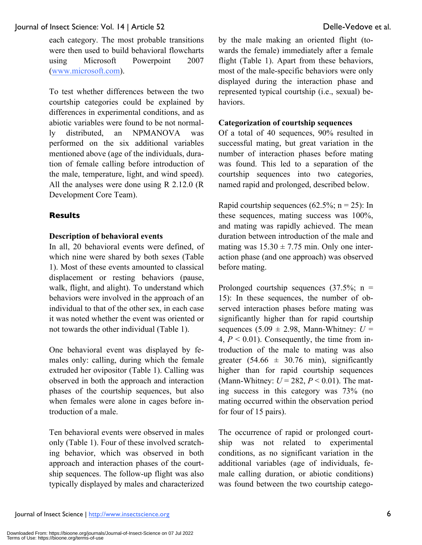each category. The most probable transitions were then used to build behavioral flowcharts using Microsoft Powerpoint 2007 (www.microsoft.com).

To test whether differences between the two courtship categories could be explained by differences in experimental conditions, and as abiotic variables were found to be not normally distributed, an NPMANOVA was performed on the six additional variables mentioned above (age of the individuals, duration of female calling before introduction of the male, temperature, light, and wind speed). All the analyses were done using R 2.12.0 (R Development Core Team).

## **Results**

## **Description of behavioral events**

In all, 20 behavioral events were defined, of which nine were shared by both sexes (Table 1). Most of these events amounted to classical displacement or resting behaviors (pause, walk, flight, and alight). To understand which behaviors were involved in the approach of an individual to that of the other sex, in each case it was noted whether the event was oriented or not towards the other individual (Table 1).

One behavioral event was displayed by females only: calling, during which the female extruded her ovipositor (Table 1). Calling was observed in both the approach and interaction phases of the courtship sequences, but also when females were alone in cages before introduction of a male.

Ten behavioral events were observed in males only (Table 1). Four of these involved scratching behavior, which was observed in both approach and interaction phases of the courtship sequences. The follow-up flight was also typically displayed by males and characterized by the male making an oriented flight (towards the female) immediately after a female flight (Table 1). Apart from these behaviors, most of the male-specific behaviors were only displayed during the interaction phase and represented typical courtship (i.e., sexual) behaviors.

## **Categorization of courtship sequences**

Of a total of 40 sequences, 90% resulted in successful mating, but great variation in the number of interaction phases before mating was found. This led to a separation of the courtship sequences into two categories, named rapid and prolonged, described below.

Rapid courtship sequences  $(62.5\%; n = 25)$ : In these sequences, mating success was 100%, and mating was rapidly achieved. The mean duration between introduction of the male and mating was  $15.30 \pm 7.75$  min. Only one interaction phase (and one approach) was observed before mating.

Prolonged courtship sequences  $(37.5\%; n =$ 15): In these sequences, the number of observed interaction phases before mating was significantly higher than for rapid courtship sequences  $(5.09 \pm 2.98, \text{ Mann-Whitney: } U =$ 4,  $P < 0.01$ ). Consequently, the time from introduction of the male to mating was also greater  $(54.66 \pm 30.76 \text{ min})$ , significantly higher than for rapid courtship sequences (Mann-Whitney:  $U = 282$ ,  $P < 0.01$ ). The mating success in this category was 73% (no mating occurred within the observation period for four of 15 pairs).

The occurrence of rapid or prolonged courtship was not related to experimental conditions, as no significant variation in the additional variables (age of individuals, female calling duration, or abiotic conditions) was found between the two courtship catego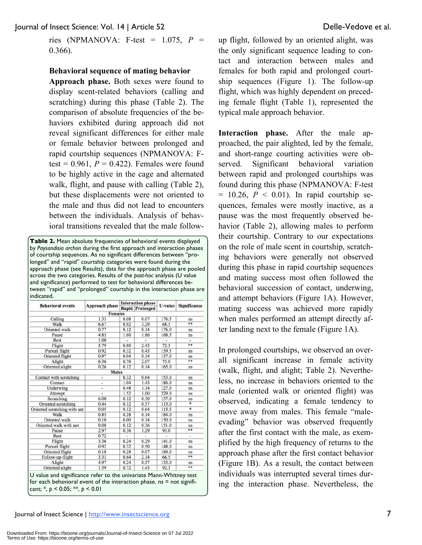ries (NPMANOVA: F-test = 1.075, *P* = 0.366).

#### **Behavioral sequence of mating behavior**

**Approach phase.** Both sexes were found to display scent-related behaviors (calling and scratching) during this phase (Table 2). The comparison of absolute frequencies of the behaviors exhibited during approach did not reveal significant differences for either male or female behavior between prolonged and rapid courtship sequences (NPMANOVA: Ftest =  $0.961$ ,  $P = 0.422$ ). Females were found to be highly active in the cage and alternated walk, flight, and pause with calling (Table 2), but these displacements were not oriented to the male and thus did not lead to encounters between the individuals. Analysis of behavioral transitions revealed that the male follow-

**Table 2.** Mean absolute frequencies of behavioral events displayed by *Paysandisia archon* during the first approach and interaction phases of courtship sequences. As no significant differences between "prolonged" and "rapid" courtship categories were found during the approach phase (see Results), data for the approach phase are pooled across the two categories. Results of the *post-hoc* analysis (U value and significance) performed to test for behavioral differences between "rapid" and "prolonged" courtship in the interaction phase are indicated.

| <b>Behavioral events</b>     | <b>Approach phase</b> | <b>Interaction phase</b> |                        | U-value | Significance      |
|------------------------------|-----------------------|--------------------------|------------------------|---------|-------------------|
|                              |                       |                          | <b>Rapid Prolonged</b> |         |                   |
|                              | <b>Females</b>        |                          |                        |         |                   |
| Calling                      | 1.33                  | 0.08                     | 0.07                   | 176.5   | ns                |
| Walk                         | 6.67                  | 0.92                     | 3.29                   | 68.5    | $***$             |
| Oriented walk                | 0.77                  | 0.12                     | 0.14                   | 176.0   | ns                |
| Pause                        | 4.85                  | 1.60                     | 1.86                   | 168.5   | ns                |
| Rest                         | 1.00                  |                          |                        |         |                   |
| Flight                       | 5.79                  | 0.80                     | 2.43                   | 72.5    | **                |
| Pursuit flight               | 0.92                  | 0.32                     | 0.43                   | 159.5   | ns                |
| Oriented flight              | 0.97                  | 0.04                     | 0.14                   | 157.0   | ns                |
| Alight                       | 6.36                  | 0.76                     | 2.07                   | 75.0    | **                |
| Oriented alight              | 0.26                  | 0.12                     | 0.14                   | 165.0   | ns                |
|                              | <b>Males</b>          |                          |                        |         |                   |
| Contact with scratching      | ۰                     | 0.32                     | 0.64                   | 153.0   | ns                |
| Contact                      | ۰                     | 1.04                     | 1.43                   | 186.0   | ns                |
| Underwing                    | $\overline{a}$        | 0.48                     | 1.14                   | 127.0   | ns                |
| Attempt                      | ä,                    | 1.52                     | 1.00                   | 229.0   | ns                |
| Scratching                   | 6.00                  | 0.12                     | 0.50                   | 157.0   | ns                |
| Oriented scratching          | 0.44                  | 0.12                     | 0.57                   | 115.0   | $\overline{\ast}$ |
| Oriented scratching with ant | 0.05                  | 0.12                     | 0.64                   | 115.5   | $\ast$            |
| Walk                         | 0.85                  | 0.28                     | 0.14                   | 184.0   | ns                |
| Oriented walk                | 0.10                  | 0.00                     | 0.14                   | 150.0   | ns                |
| Oriented walk with ant       | 0.08                  | 0.12                     | 0.36                   | 151.0   | ns                |
| Pause                        | 2.97                  | 0.36                     | 1.29                   | 93.0    | **                |
| Rest                         | 0.72                  |                          |                        |         |                   |
| Flight                       | 3.36                  | 0.24                     | 0.29                   | 141.0   | ns                |
| Pursuit flight               | 0.92                  | 0.32                     | 0.50                   | 148.0   | ns                |
| Oriented flight              | 0.18                  | 0.28                     | 0.07                   | 184.0   | ns                |
| Follow-up-flight             | 3.33                  | 0.64                     | 2.14                   | 66.5    | $\overline{**}$   |
| Alight                       | 4.97                  | 0.24                     | 0.57                   | 133.0   | ns                |
|                              | 1.59                  | 0.72                     | 1.43                   | 92.5    | $**$              |

up flight, followed by an oriented alight, was the only significant sequence leading to contact and interaction between males and females for both rapid and prolonged courtship sequences (Figure 1). The follow-up flight, which was highly dependent on preceding female flight (Table 1), represented the typical male approach behavior.

**Interaction phase.** After the male approached, the pair alighted, led by the female, and short-range courting activities were observed. Significant behavioral variation between rapid and prolonged courtships was found during this phase (NPMANOVA: F-test  $= 10.26$ ,  $P < 0.01$ ). In rapid courtship sequences, females were mostly inactive, as a pause was the most frequently observed behavior (Table 2), allowing males to perform their courtship. Contrary to our expectations on the role of male scent in courtship, scratching behaviors were generally not observed during this phase in rapid courtship sequences and mating success most often followed the behavioral succession of contact, underwing, and attempt behaviors (Figure 1A). However, mating success was achieved more rapidly when males performed an attempt directly after landing next to the female (Figure 1A).

In prolonged courtships, we observed an overall significant increase in female activity (walk, flight, and alight; Table 2). Nevertheless, no increase in behaviors oriented to the male (oriented walk or oriented flight) was observed, indicating a female tendency to move away from males. This female "maleevading" behavior was observed frequently after the first contact with the male, as exemplified by the high frequency of returns to the approach phase after the first contact behavior (Figure 1B). As a result, the contact between individuals was interrupted several times during the interaction phase. Nevertheless, the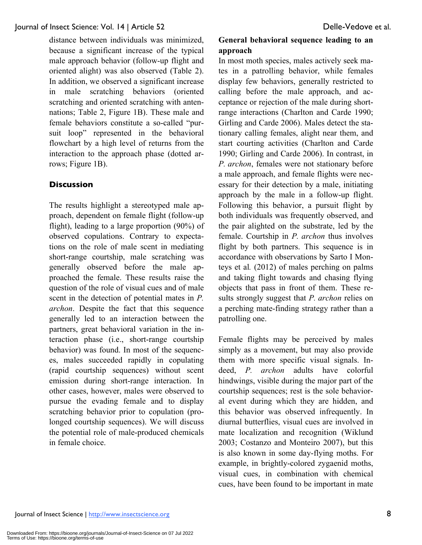distance between individuals was minimized, because a significant increase of the typical male approach behavior (follow-up flight and oriented alight) was also observed (Table 2). In addition, we observed a significant increase in male scratching behaviors (oriented scratching and oriented scratching with antennations; Table 2, Figure 1B). These male and female behaviors constitute a so-called "pursuit loop" represented in the behavioral flowchart by a high level of returns from the interaction to the approach phase (dotted arrows; Figure 1B).

## **Discussion**

The results highlight a stereotyped male approach, dependent on female flight (follow-up flight), leading to a large proportion (90%) of observed copulations. Contrary to expectations on the role of male scent in mediating short-range courtship, male scratching was generally observed before the male approached the female. These results raise the question of the role of visual cues and of male scent in the detection of potential mates in *P. archon*. Despite the fact that this sequence generally led to an interaction between the partners, great behavioral variation in the interaction phase (i.e., short-range courtship behavior) was found. In most of the sequences, males succeeded rapidly in copulating (rapid courtship sequences) without scent emission during short-range interaction. In other cases, however, males were observed to pursue the evading female and to display scratching behavior prior to copulation (prolonged courtship sequences). We will discuss the potential role of male-produced chemicals in female choice.

## **General behavioral sequence leading to an approach**

In most moth species, males actively seek mates in a patrolling behavior, while females display few behaviors, generally restricted to calling before the male approach, and acceptance or rejection of the male during shortrange interactions (Charlton and Carde 1990; Girling and Carde 2006). Males detect the stationary calling females, alight near them, and start courting activities (Charlton and Carde 1990; Girling and Carde 2006). In contrast, in *P. archon*, females were not stationary before a male approach, and female flights were necessary for their detection by a male, initiating approach by the male in a follow-up flight. Following this behavior, a pursuit flight by both individuals was frequently observed, and the pair alighted on the substrate, led by the female. Courtship in *P. archon* thus involves flight by both partners. This sequence is in accordance with observations by Sarto I Monteys et al*.* (2012) of males perching on palms and taking flight towards and chasing flying objects that pass in front of them. These results strongly suggest that *P. archon* relies on a perching mate-finding strategy rather than a patrolling one.

Female flights may be perceived by males simply as a movement, but may also provide them with more specific visual signals. Indeed, *P. archon* adults have colorful hindwings, visible during the major part of the courtship sequences; rest is the sole behavioral event during which they are hidden, and this behavior was observed infrequently. In diurnal butterflies, visual cues are involved in mate localization and recognition (Wiklund 2003; Costanzo and Monteiro 2007), but this is also known in some day-flying moths. For example, in brightly-colored zygaenid moths, visual cues, in combination with chemical cues, have been found to be important in mate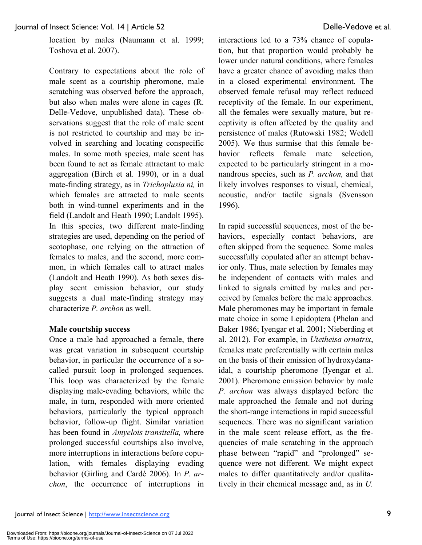location by males (Naumann et al. 1999; Toshova et al. 2007).

Contrary to expectations about the role of male scent as a courtship pheromone, male scratching was observed before the approach, but also when males were alone in cages (R. Delle-Vedove, unpublished data). These observations suggest that the role of male scent is not restricted to courtship and may be involved in searching and locating conspecific males. In some moth species, male scent has been found to act as female attractant to male aggregation (Birch et al. 1990), or in a dual mate-finding strategy, as in *Trichoplusia ni,* in which females are attracted to male scents both in wind-tunnel experiments and in the field (Landolt and Heath 1990; Landolt 1995). In this species, two different mate-finding strategies are used, depending on the period of scotophase, one relying on the attraction of females to males, and the second, more common, in which females call to attract males (Landolt and Heath 1990). As both sexes display scent emission behavior, our study suggests a dual mate-finding strategy may characterize *P. archon* as well.

#### **Male courtship success**

Once a male had approached a female, there was great variation in subsequent courtship behavior, in particular the occurrence of a socalled pursuit loop in prolonged sequences. This loop was characterized by the female displaying male-evading behaviors, while the male, in turn, responded with more oriented behaviors, particularly the typical approach behavior, follow-up flight. Similar variation has been found in *Amyelois transitella,* where prolonged successful courtships also involve, more interruptions in interactions before copulation, with females displaying evading behavior (Girling and Cardé 2006). In *P. archon*, the occurrence of interruptions in

interactions led to a 73% chance of copulation, but that proportion would probably be lower under natural conditions, where females have a greater chance of avoiding males than in a closed experimental environment. The observed female refusal may reflect reduced receptivity of the female. In our experiment, all the females were sexually mature, but receptivity is often affected by the quality and persistence of males (Rutowski 1982; Wedell 2005). We thus surmise that this female behavior reflects female mate selection, expected to be particularly stringent in a monandrous species, such as *P. archon,* and that likely involves responses to visual, chemical, acoustic, and/or tactile signals (Svensson 1996).

In rapid successful sequences, most of the behaviors, especially contact behaviors, are often skipped from the sequence. Some males successfully copulated after an attempt behavior only. Thus, mate selection by females may be independent of contacts with males and linked to signals emitted by males and perceived by females before the male approaches. Male pheromones may be important in female mate choice in some Lepidoptera (Phelan and Baker 1986; Iyengar et al. 2001; Nieberding et al. 2012). For example, in *Utetheisa ornatrix*, females mate preferentially with certain males on the basis of their emission of hydroxydanaidal, a courtship pheromone (Iyengar et al. 2001). Pheromone emission behavior by male *P. archon* was always displayed before the male approached the female and not during the short-range interactions in rapid successful sequences. There was no significant variation in the male scent release effort, as the frequencies of male scratching in the approach phase between "rapid" and "prolonged" sequence were not different. We might expect males to differ quantitatively and/or qualitatively in their chemical message and, as in *U.*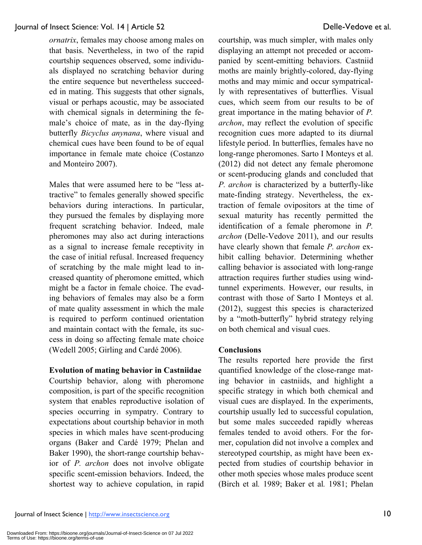*ornatrix*, females may choose among males on that basis. Nevertheless, in two of the rapid courtship sequences observed, some individuals displayed no scratching behavior during the entire sequence but nevertheless succeeded in mating. This suggests that other signals, visual or perhaps acoustic, may be associated with chemical signals in determining the female's choice of mate, as in the day-flying butterfly *Bicyclus anynana*, where visual and

chemical cues have been found to be of equal importance in female mate choice (Costanzo and Monteiro 2007).

Males that were assumed here to be "less attractive" to females generally showed specific behaviors during interactions. In particular, they pursued the females by displaying more frequent scratching behavior. Indeed, male pheromones may also act during interactions as a signal to increase female receptivity in the case of initial refusal. Increased frequency of scratching by the male might lead to increased quantity of pheromone emitted, which might be a factor in female choice. The evading behaviors of females may also be a form of mate quality assessment in which the male is required to perform continued orientation and maintain contact with the female, its success in doing so affecting female mate choice (Wedell 2005; Girling and Cardé 2006).

## **Evolution of mating behavior in Castniidae**

Courtship behavior, along with pheromone composition, is part of the specific recognition system that enables reproductive isolation of species occurring in sympatry. Contrary to expectations about courtship behavior in moth species in which males have scent-producing organs (Baker and Cardé 1979; Phelan and Baker 1990), the short-range courtship behavior of *P. archon* does not involve obligate specific scent-emission behaviors. Indeed, the shortest way to achieve copulation, in rapid courtship, was much simpler, with males only displaying an attempt not preceded or accompanied by scent-emitting behaviors. Castniid moths are mainly brightly-colored, day-flying moths and may mimic and occur sympatrically with representatives of butterflies. Visual cues, which seem from our results to be of great importance in the mating behavior of *P. archon*, may reflect the evolution of specific recognition cues more adapted to its diurnal lifestyle period. In butterflies, females have no long-range pheromones. Sarto I Monteys et al. (2012) did not detect any female pheromone or scent-producing glands and concluded that *P. archon* is characterized by a butterfly-like mate-finding strategy. Nevertheless, the extraction of female ovipositors at the time of sexual maturity has recently permitted the identification of a female pheromone in *P. archon* (Delle-Vedove 2011), and our results have clearly shown that female *P. archon* exhibit calling behavior. Determining whether calling behavior is associated with long-range attraction requires further studies using windtunnel experiments. However, our results, in contrast with those of Sarto I Monteys et al. (2012), suggest this species is characterized by a "moth-butterfly" hybrid strategy relying on both chemical and visual cues.

## **Conclusions**

The results reported here provide the first quantified knowledge of the close-range mating behavior in castniids, and highlight a specific strategy in which both chemical and visual cues are displayed. In the experiments, courtship usually led to successful copulation, but some males succeeded rapidly whereas females tended to avoid others. For the former, copulation did not involve a complex and stereotyped courtship, as might have been expected from studies of courtship behavior in other moth species whose males produce scent (Birch et al*.* 1989; Baker et al*.* 1981; Phelan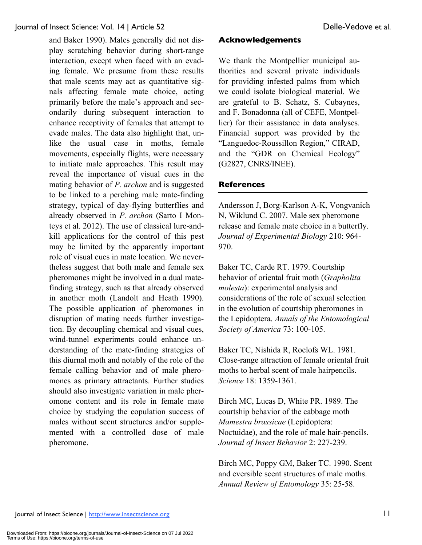and Baker 1990). Males generally did not display scratching behavior during short-range interaction, except when faced with an evading female. We presume from these results that male scents may act as quantitative signals affecting female mate choice, acting primarily before the male's approach and secondarily during subsequent interaction to enhance receptivity of females that attempt to evade males. The data also highlight that, unlike the usual case in moths, female movements, especially flights, were necessary to initiate male approaches. This result may reveal the importance of visual cues in the mating behavior of *P. archon* and is suggested to be linked to a perching male mate-finding strategy, typical of day-flying butterflies and already observed in *P. archon* (Sarto I Monteys et al. 2012). The use of classical lure-andkill applications for the control of this pest may be limited by the apparently important role of visual cues in mate location. We nevertheless suggest that both male and female sex pheromones might be involved in a dual matefinding strategy, such as that already observed in another moth (Landolt and Heath 1990). The possible application of pheromones in disruption of mating needs further investigation. By decoupling chemical and visual cues, wind-tunnel experiments could enhance understanding of the mate-finding strategies of this diurnal moth and notably of the role of the female calling behavior and of male pheromones as primary attractants. Further studies should also investigate variation in male pheromone content and its role in female mate choice by studying the copulation success of males without scent structures and/or supplemented with a controlled dose of male pheromone.

## **Acknowledgements**

We thank the Montpellier municipal authorities and several private individuals for providing infested palms from which we could isolate biological material. We are grateful to B. Schatz, S. Cubaynes, and F. Bonadonna (all of CEFE, Montpellier) for their assistance in data analyses. Financial support was provided by the "Languedoc-Roussillon Region," CIRAD, and the "GDR on Chemical Ecology" (G2827, CNRS/INEE).

## **References**

Andersson J, Borg-Karlson A-K, Vongvanich N, Wiklund C. 2007. Male sex pheromone release and female mate choice in a butterfly. *Journal of Experimental Biology* 210: 964- 970.

Baker TC, Carde RT. 1979. Courtship behavior of oriental fruit moth (*Grapholita molesta*): experimental analysis and considerations of the role of sexual selection in the evolution of courtship pheromones in the Lepidoptera. *Annals of the Entomological Society of America* 73: 100-105.

Baker TC, Nishida R, Roelofs WL. 1981. Close-range attraction of female oriental fruit moths to herbal scent of male hairpencils. *Science* 18: 1359-1361.

Birch MC, Lucas D, White PR. 1989. The courtship behavior of the cabbage moth *Mamestra brassicae* (Lepidoptera: Noctuidae), and the role of male hair-pencils. *Journal of Insect Behavior* 2: 227-239.

Birch MC, Poppy GM, Baker TC. 1990. Scent and eversible scent structures of male moths. *Annual Review of Entomology* 35: 25-58.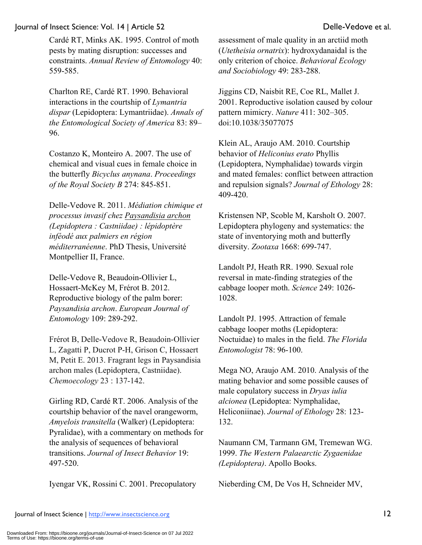Cardé RT, Minks AK. 1995. Control of moth pests by mating disruption: successes and constraints. *Annual Review of Entomology* 40: 559-585.

Charlton RE, Cardé RT. 1990. Behavioral interactions in the courtship of *Lymantria dispar* (Lepidoptera: Lymantriidae). *Annals of the Entomological Society of America* 83: 89– 96.

Costanzo K, Monteiro A. 2007. The use of chemical and visual cues in female choice in the butterfly *Bicyclus anynana*. *Proceedings of the Royal Society B* 274: 845-851.

Delle-Vedove R. 2011. *Médiation chimique et processus invasif chez Paysandisia archon (Lepidoptera : Castniidae) : lépidoptère inféodé aux palmiers en région méditerranéenne*. PhD Thesis, Université Montpellier II, France.

Delle-Vedove R, Beaudoin-Ollivier L, Hossaert-McKey M, Frérot B. 2012. Reproductive biology of the palm borer: *Paysandisia archon*. *European Journal of Entomology* 109: 289-292.

Frérot B, Delle-Vedove R, Beaudoin-Ollivier L, Zagatti P, Ducrot P-H, Grison C, Hossaert M, Petit E. 2013. Fragrant legs in Paysandisia archon males (Lepidoptera, Castniidae). *Chemoecology* 23 : 137-142.

Girling RD, Cardé RT. 2006. Analysis of the courtship behavior of the navel orangeworm, *Amyelois transitella* (Walker) (Lepidoptera: Pyralidae), with a commentary on methods for the analysis of sequences of behavioral transitions. *Journal of Insect Behavior* 19: 497-520.

Iyengar VK, Rossini C. 2001. Precopulatory

assessment of male quality in an arctiid moth (*Utetheisia ornatrix*): hydroxydanaidal is the only criterion of choice. *Behavioral Ecology and Sociobiology* 49: 283-288.

Jiggins CD, Naisbit RE, Coe RL, Mallet J. 2001. Reproductive isolation caused by colour pattern mimicry. *Nature* 411: 302–305. doi:10.1038/35077075

Klein AL, Araujo AM. 2010. Courtship behavior of *Heliconius erato* Phyllis (Lepidoptera, Nymphalidae) towards virgin and mated females: conflict between attraction and repulsion signals? *Journal of Ethology* 28: 409-420.

Kristensen NP, Scoble M, Karsholt O. 2007. Lepidoptera phylogeny and systematics: the state of inventorying moth and butterfly diversity. *Zootaxa* 1668: 699-747.

Landolt PJ, Heath RR. 1990. Sexual role reversal in mate-finding strategies of the cabbage looper moth. *Science* 249: 1026- 1028.

Landolt PJ. 1995. Attraction of female cabbage looper moths (Lepidoptera: Noctuidae) to males in the field. *The Florida Entomologist* 78: 96-100.

Mega NO, Araujo AM. 2010. Analysis of the mating behavior and some possible causes of male copulatory success in *Dryas iulia alcionea* (Lepidoptea: Nymphalidae, Heliconiinae). *Journal of Ethology* 28: 123- 132.

Naumann CM, Tarmann GM, Tremewan WG. 1999. *The Western Palaearctic Zygaenidae (Lepidoptera)*. Apollo Books.

Nieberding CM, De Vos H, Schneider MV,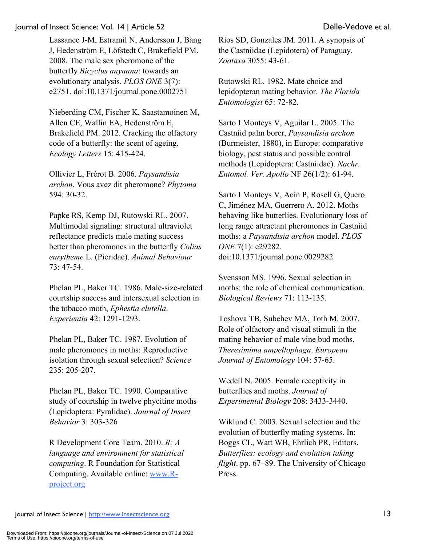Lassance J-M, Estramil N, Andersson J, Bång J, Hedenström E, Löfstedt C, Brakefield PM. 2008. The male sex pheromone of the butterfly *Bicyclus anynana*: towards an evolutionary analysis. *PLOS ONE* 3(7): e2751. doi:10.1371/journal.pone.0002751

Nieberding CM, Fischer K, Saastamoinen M, Allen CE, Wallin EA, Hedenström E, Brakefield PM. 2012. Cracking the olfactory code of a butterfly: the scent of ageing. *Ecology Letters* 15: 415-424.

Ollivier L, Frérot B. 2006. *Paysandisia archon*. Vous avez dit pheromone? *Phytoma* 594: 30-32.

Papke RS, Kemp DJ, Rutowski RL. 2007. Multimodal signaling: structural ultraviolet reflectance predicts male mating success better than pheromones in the butterfly *Colias eurytheme* L. (Pieridae). *Animal Behaviour*  73: 47-54.

Phelan PL, Baker TC. 1986. Male-size-related courtship success and intersexual selection in the tobacco moth, *Ephestia elutella*. *Experientia* 42: 1291-1293.

Phelan PL, Baker TC. 1987. Evolution of male pheromones in moths: Reproductive isolation through sexual selection? *Science* 235: 205-207.

Phelan PL, Baker TC. 1990. Comparative study of courtship in twelve phycitine moths (Lepidoptera: Pyralidae). *Journal of Insect Behavior* 3: 303-326

R Development Core Team. 2010. *R: A language and environment for statistical computing*. R Foundation for Statistical Computing. Available online: www.Rproject.org

Rios SD, Gonzales JM. 2011. A synopsis of the Castniidae (Lepidotera) of Paraguay. *Zootaxa* 3055: 43-61.

Rutowski RL. 1982. Mate choice and lepidopteran mating behavior. *The Florida Entomologist* 65: 72-82.

Sarto I Monteys V, Aguilar L. 2005. The Castniid palm borer, *Paysandisia archon*  (Burmeister, 1880), in Europe: comparative biology, pest status and possible control methods (Lepidoptera: Castniidae). *Nachr. Entomol. Ver. Apollo* NF 26(1/2): 61-94.

Sarto I Monteys V, Acìn P, Rosell G, Quero C, Jiménez MA, Guerrero A. 2012. Moths behaving like butterlies. Evolutionary loss of long range attractant pheromones in Castniid moths: a *Paysandisia archon* model. *PLOS ONE* 7(1): e29282. doi:10.1371/journal.pone.0029282

Svensson MS. 1996. Sexual selection in moths: the role of chemical communication. *Biological Reviews* 71: 113-135.

Toshova TB, Subchev MA, Toth M. 2007. Role of olfactory and visual stimuli in the mating behavior of male vine bud moths, *Theresimima ampellophaga*. *European Journal of Entomology* 104: 57-65.

Wedell N. 2005. Female receptivity in butterflies and moths. *Journal of Experimental Biology* 208: 3433-3440.

Wiklund C. 2003. Sexual selection and the evolution of butterfly mating systems. In: Boggs CL, Watt WB, Ehrlich PR, Editors. *Butterflies: ecology and evolution taking flight*. pp. 67–89. The University of Chicago Press.